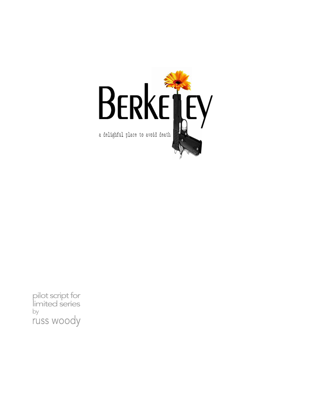

pilot script for<br>limited series by russ woody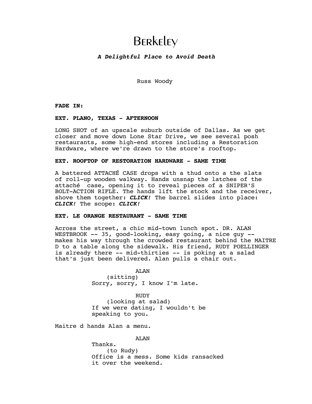# **BERKELEY**

# *A Delightful Place to Avoid Death*

Russ Woody

**FADE IN:** 

# **EXT. PLANO, TEXAS - AFTERNOON**

LONG SHOT of an upscale suburb outside of Dallas. As we get closer and move down Lone Star Drive, we see several posh restaurants, some high-end stores including a Restoration Hardware, where we're drawn to the store's rooftop.

# **EXT. ROOFTOP OF RESTORATION HARDWARE - SAME TIME**

A battered ATTACHÉ CASE drops with a thud onto a the slats of roll-up wooden walkway. Hands unsnap the latches of the attaché case, opening it to reveal pieces of a SNIPER'S BOLT-ACTION RIFLE. The hands lift the stock and the receiver, shove them together: *CLICK!* The barrel slides into place: *CLICK!* The scope: *CLICK!*

# **EXT. LE ORANGE RESTAURANT - SAME TIME**

Across the street, a chic mid-town lunch spot. DR. ALAN WESTBROOK -- 35, good-looking, easy going, a nice guy - makes his way through the crowded restaurant behind the MAITRE D to a table along the sidewalk. His friend, RUDY POELLINGER is already there -- mid-thirties -- is poking at a salad that's just been delivered. Alan pulls a chair out.

> AT.AN (sitting) Sorry, sorry, I know I'm late.

RUDY (looking at salad) If we were dating, I wouldn't be speaking to you.

Maitre d hands Alan a menu.

AT.AN

Thanks. (to Rudy) Office is a mess. Some kids ransacked it over the weekend.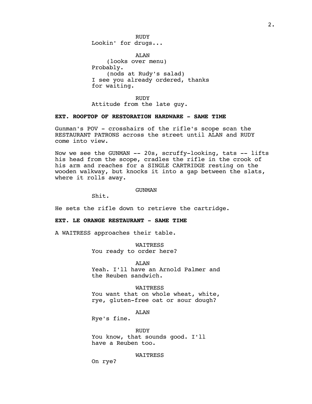RUDY Lookin' for drugs...

ALAN (looks over menu) Probably. (nods at Rudy's salad) I see you already ordered, thanks for waiting.

RUDY Attitude from the late guy.

# **EXT. ROOFTOP OF RESTORATION HARDWARE - SAME TIME**

Gunman's POV - crosshairs of the rifle's scope scan the RESTAURANT PATRONS across the street until ALAN and RUDY come into view.

Now we see the GUNMAN -- 20s, scruffy-looking, tats -- lifts his head from the scope, cradles the rifle in the crook of his arm and reaches for a SINGLE CARTRIDGE resting on the wooden walkway, but knocks it into a gap between the slats, where it rolls away.

#### GUNMAN

Shit.

He sets the rifle down to retrieve the cartridge.

# **EXT. LE ORANGE RESTAURANT - SAME TIME**

A WAITRESS approaches their table.

WAITRESS You ready to order here?

ALAN Yeah. I'll have an Arnold Palmer and the Reuben sandwich.

WAITRESS

You want that on whole wheat, white, rye, gluten-free oat or sour dough?

ALAN

Rye's fine.

RUDY You know, that sounds good. I'll have a Reuben too.

WAITRESS

On rye?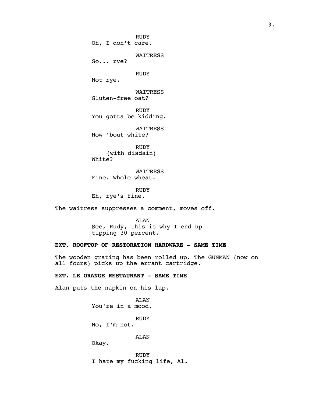RUDY Oh, I don't care. WAITRESS So... rye? RUDY Not rye. WAITRESS Gluten-free oat? RUDY You gotta be kidding. WAITRESS How 'bout white? **RUDY** (with disdain)

White? WAITRESS

Fine. Whole wheat.

RUDY Eh, rye's fine.

The waitress suppresses a comment, moves off.

ALAN See, Rudy, this is why I end up tipping 30 percent.

**EXT. ROOFTOP OF RESTORATION HARDWARE - SAME TIME**

The wooden grating has been rolled up. The GUNMAN (now on all fours) picks up the errant cartridge.

**EXT. LE ORANGE RESTAURANT - SAME TIME**

Alan puts the napkin on his lap.

ALAN You're in a mood. RUDY No, I'm not. ALAN Okay.

RUDY I hate my fucking life, Al.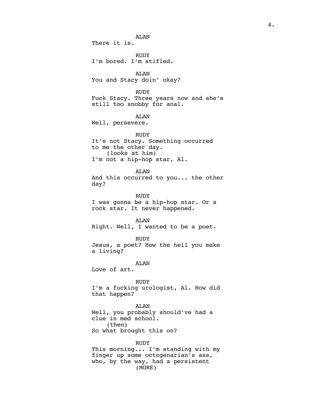ALAN There it is. RUDY I'm bored. I'm stifled. ALAN You and Stacy doin' okay? RUDY Fuck Stacy. Three years now and she's still too snobby for anal. ALAN Well, persevere. RUDY It's not Stacy. Something occurred to me the other day. (looks at him) I'm not a hip-hop star, Al. ALAN And this occurred to you... the other day? RUDY I was gonna be a hip-hop star. Or a rock star. It never happened. ALAN Right. Well, I wanted to be a poet. RUDY Jesus, a poet? How the hell you make a living? ALAN Love of art. **RUDY** I'm a fucking urologist, Al. How did that happen? ALAN Well, you probably should've had a clue in med school. (then) So what brought this on? RUDY This morning... I'm standing with my finger up some octogenarian's ass, who, by the way, had a persistent

(MORE)

4.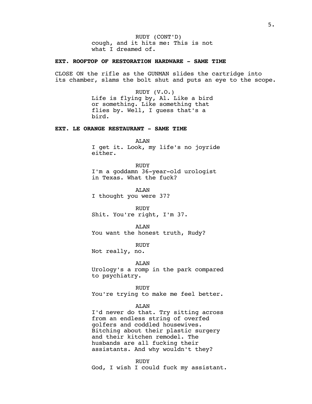RUDY (CONT'D) cough, and it hits me: This is not what I dreamed of.

# **EXT. ROOFTOP OF RESTORATION HARDWARE - SAME TIME**

CLOSE ON the rifle as the GUNMAN slides the cartridge into its chamber, slams the bolt shut and puts an eye to the scope.

> RUDY (V.O.) Life is flying by, Al. Like a bird or something. Like something that flies by. Well, I guess that's a bird.

## **EXT. LE ORANGE RESTAURANT - SAME TIME**

ALAN

I get it. Look, my life's no joyride either.

RUDY I'm a goddamn 36-year-old urologist in Texas. What the fuck?

ALAN

I thought you were 37?

RUDY Shit. You're right, I'm 37.

AT.AN You want the honest truth, Rudy?

RUDY

Not really, no.

ALAN

Urology's a romp in the park compared to psychiatry.

RUDY You're trying to make me feel better.

# ALAN

I'd never do that. Try sitting across from an endless string of overfed golfers and coddled housewives. Bitching about their plastic surgery and their kitchen remodel. The husbands are all fucking their assistants. And why wouldn't they?

RUDY

God, I wish I could fuck my assistant.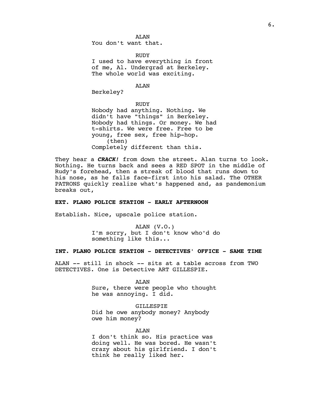AT.AN You don't want that.

RUDY

I used to have everything in front of me, Al. Undergrad at Berkeley. The whole world was exciting.

ALAN

Berkeley?

RUDY Nobody had anything. Nothing. We didn't have "things" in Berkeley. Nobody had things. Or money. We had t-shirts. We were free. Free to be young, free sex, free hip-hop. (then) Completely different than this.

They hear a *CRACK!* from down the street. Alan turns to look. Nothing. He turns back and sees a RED SPOT in the middle of Rudy's forehead, then a streak of blood that runs down to his nose, as he falls face-first into his salad. The OTHER PATRONS quickly realize what's happened and, as pandemonium breaks out,

# **EXT. PLANO POLICE STATION - EARLY AFTERNOON**

Establish. Nice, upscale police station.

ALAN (V.O.) I'm sorry, but I don't know who'd do something like this...

## **INT. PLANO POLICE STATION - DETECTIVES' OFFICE - SAME TIME**

ALAN -- still in shock -- sits at a table across from TWO DETECTIVES. One is Detective ART GILLESPIE.

AT.AN

Sure, there were people who thought he was annoying. I did.

GILLESPIE Did he owe anybody money? Anybody owe him money?

ALAN

I don't think so. His practice was doing well. He was bored. He wasn't crazy about his girlfriend. I don't think he really liked her.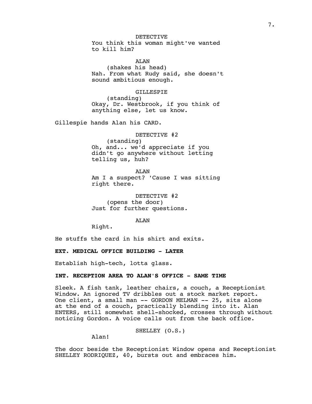DETECTIVE You think this woman might've wanted to kill him?

AT.AN (shakes his head) Nah. From what Rudy said, she doesn't sound ambitious enough.

## GILLESPIE

(standing) Okay, Dr. Westbrook, if you think of anything else, let us know.

Gillespie hands Alan his CARD.

DETECTIVE #2 (standing) Oh, and... we'd appreciate if you didn't go anywhere without letting telling us, huh?

ALAN Am I a suspect? 'Cause I was sitting right there.

DETECTIVE #2 (opens the door) Just for further questions.

## ALAN

Right.

He stuffs the card in his shirt and exits.

**EXT. MEDICAL OFFICE BUILDING - LATER**

Establish high-tech, lotta glass.

# **INT. RECEPTION AREA TO ALAN'S OFFICE - SAME TIME**

Sleek. A fish tank, leather chairs, a couch, a Receptionist Window. An ignored TV dribbles out a stock market report. One client, a small man -- GORDON MELMAN -- 25, sits alone at the end of a couch, practically blending into it. Alan ENTERS, still somewhat shell-shocked, crosses through without noticing Gordon. A voice calls out from the back office.

# SHELLEY (O.S.)

Alan!

The door beside the Receptionist Window opens and Receptionist SHELLEY RODRIQUEZ, 40, bursts out and embraces him.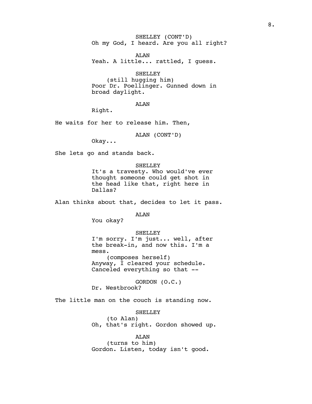SHELLEY (CONT'D) Oh my God, I heard. Are you all right?

ALAN Yeah. A little... rattled, I guess.

SHELLEY (still hugging him) Poor Dr. Poellinger. Gunned down in

broad daylight.

ALAN

Right.

He waits for her to release him. Then,

ALAN (CONT'D)

Okay...

She lets go and stands back.

#### SHELLEY

It's a travesty. Who would've ever thought someone could get shot in the head like that, right here in Dallas?

Alan thinks about that, decides to let it pass.

AT.AN

You okay?

#### SHELLEY

I'm sorry. I'm just... well, after the break-in, and now this. I'm a mess. (composes herself) Anyway, I cleared your schedule. Canceled everything so that --

GORDON (O.C.)

Dr. Westbrook?

The little man on the couch is standing now.

## SHELLEY

(to Alan) Oh, that's right. Gordon showed up.

# ALAN

(turns to him) Gordon. Listen, today isn't good.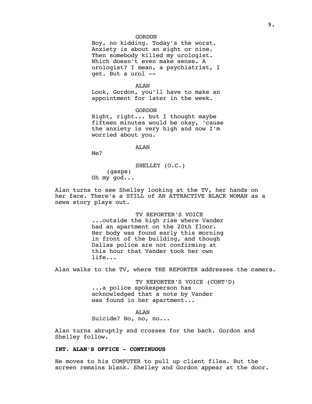## GORDON

Boy, no kidding. Today's the worst. Anxiety is about an eight or nine. Then somebody killed my urologist. Which doesn't even make sense. A urologist? I mean, a psychiatrist, I get. But a urol --

#### ALAN

Look, Gordon, you'll have to make an appointment for later in the week.

GORDON

Right, right... but I thought maybe fifteen minutes would be okay, 'cause the anxiety is very high and now I'm worried about you.

#### AT.AN

Me?

SHELLEY (O.C.)

(gasps) Oh my god...

Alan turns to see Shelley looking at the TV, her hands on her face. There's a STILL of AN ATTRACTIVE BLACK WOMAN as a news story plays out.

> TV REPORTER'S VOICE ...outside the high rise where Vander had an apartment on the 20th floor. Her body was found early this morning in front of the building, and though Dallas police are not confirming at this hour that Vander took her own life...

Alan walks to the TV, where THE REPORTER addresses the camera.

TV REPORTER'S VOICE (CONT'D) ...a police spokesperson has acknowledged that a note by Vander was found in her apartment...

ALAN Suicide? No, no, no...

Alan turns abruptly and crosses for the back. Gordon and Shelley follow.

# **INT. ALAN'S OFFICE - CONTINUOUS**

He moves to his COMPUTER to pull up client files. But the screen remains blank. Shelley and Gordon appear at the door.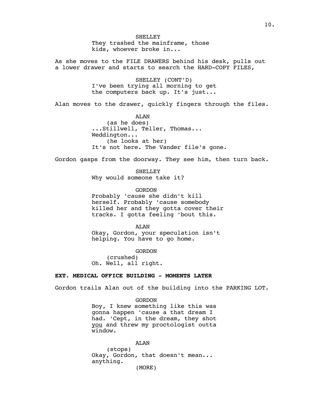**SHELLEY** They trashed the mainframe, those kids, whoever broke in...

As she moves to the FILE DRAWERS behind his desk, pulls out a lower drawer and starts to search the HARD-COPY FILES,

> SHELLEY (CONT'D) I've been trying all morning to get the computers back up. It's just...

Alan moves to the drawer, quickly fingers through the files.

ALAN (as he does) ...Stillwell, Teller, Thomas... Weddington... (he looks at her) It's not here. The Vander file's gone.

Gordon gasps from the doorway. They see him, then turn back.

SHELLEY Why would someone take it?

GORDON Probably 'cause she didn't kill herself. Probably 'cause somebody killed her and they gotta cover their tracks. I gotta feeling 'bout this.

ALAN

Okay, Gordon, your speculation isn't helping. You have to go home.

GORDON (crushed) Oh. Well, all right.

# **EXT. MEDICAL OFFICE BUILDING - MOMENTS LATER**

Gordon trails Alan out of the building into the PARKING LOT.

GORDON

Boy, I knew something like this was gonna happen 'cause a that dream I had. 'Cept, in the dream, they shot you and threw my proctologist outta window.

ALAN (stops) Okay, Gordon, that doesn't mean... anything. (MORE)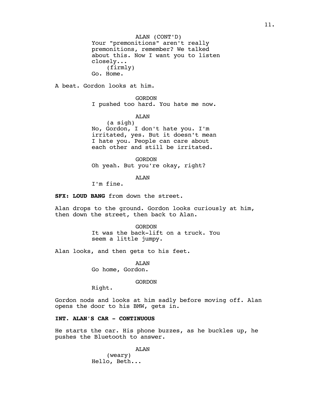ALAN (CONT'D) Your "premonitions" aren't really premonitions, remember? We talked about this. Now I want you to listen closely... (firmly) Go. Home.

A beat. Gordon looks at him.

GORDON

I pushed too hard. You hate me now.

ALAN

(a sigh) No, Gordon, I don't hate you. I'm irritated, yes. But it doesn't mean I hate you. People can care about each other and still be irritated.

GORDON Oh yeah. But you're okay, right?

ALAN

I'm fine.

**SFX: LOUD BANG** from down the street.

Alan drops to the ground. Gordon looks curiously at him, then down the street, then back to Alan.

> **GORDON** It was the back-lift on a truck. You seem a little jumpy.

Alan looks, and then gets to his feet.

ALAN Go home, Gordon.

GORDON

Right.

Gordon nods and looks at him sadly before moving off. Alan opens the door to his BMW, gets in.

# **INT. ALAN'S CAR - CONTINUOUS**

He starts the car. His phone buzzes, as he buckles up, he pushes the Bluetooth to answer.

AT.AN

(weary) Hello, Beth...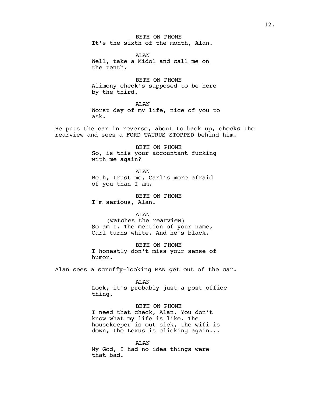BETH ON PHONE It's the sixth of the month, Alan.

ALAN Well, take a Midol and call me on the tenth.

BETH ON PHONE Alimony check's supposed to be here by the third.

ALAN Worst day of my life, nice of you to ask.

He puts the car in reverse, about to back up, checks the rearview and sees a FORD TAURUS STOPPED behind him.

> BETH ON PHONE So, is this your accountant fucking with me again?

ALAN Beth, trust me, Carl's more afraid of you than I am.

BETH ON PHONE I'm serious, Alan.

#### ALAN

(watches the rearview) So am I. The mention of your name, Carl turns white. And he's black.

BETH ON PHONE I honestly don't miss your sense of humor.

Alan sees a scruffy-looking MAN get out of the car.

#### AT.AN

Look, it's probably just a post office thing.

## BETH ON PHONE

I need that check, Alan. You don't know what my life is like. The housekeeper is out sick, the wifi is down, the Lexus is clicking again...

ALAN My God, I had no idea things were that bad.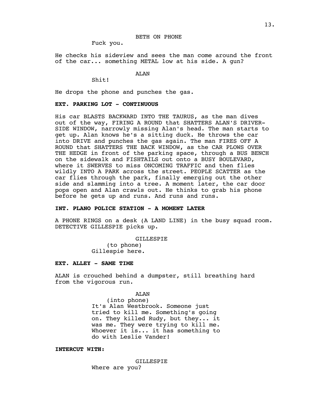## BETH ON PHONE

Fuck you.

He checks his sideview and sees the man come around the front of the car... something METAL low at his side. A gun?

#### ALAN

Shit!

He drops the phone and punches the gas.

# **EXT. PARKING LOT - CONTINUOUS**

His car BLASTS BACKWARD INTO THE TAURUS, as the man dives out of the way, FIRING A ROUND that SHATTERS ALAN'S DRIVER-SIDE WINDOW, narrowly missing Alan's head. The man starts to get up. Alan knows he's a sitting duck. He throws the car into DRIVE and punches the gas again. The man FIRES OFF A ROUND that SHATTERS THE BACK WINDOW, as the CAR PLOWS OVER THE HEDGE in front of the parking space, through a BUS BENCH on the sidewalk and FISHTAILS out onto a BUSY BOULEVARD, where it SWERVES to miss ONCOMING TRAFFIC and then flies wildly INTO A PARK across the street. PEOPLE SCATTER as the car flies through the park, finally emerging out the other side and slamming into a tree. A moment later, the car door pops open and Alan crawls out. He thinks to grab his phone before he gets up and runs. And runs and runs.

# **INT. PLANO POLICE STATION - A MOMENT LATER**

A PHONE RINGS on a desk (A LAND LINE) in the busy squad room. DETECTIVE GILLESPIE picks up.

> GILLESPIE (to phone) Gillespie here.

## **EXT. ALLEY - SAME TIME**

ALAN is crouched behind a dumpster, still breathing hard from the vigorous run.

AT.AN

(into phone) It's Alan Westbrook. Someone just tried to kill me. Something's going on. They killed Rudy, but they... it was me. They were trying to kill me. Whoever it is... it has something to do with Leslie Vander!

# **INTERCUT WITH:**

GILLESPIE Where are you?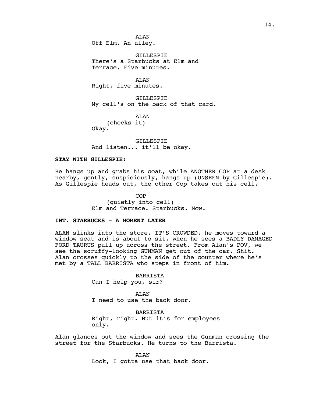GILLESPIE There's a Starbucks at Elm and Terrace. Five minutes.

AT.AN Right, five minutes.

GILLESPIE My cell's on the back of that card.

ALAN

(checks it) Okay.

GILLESPIE And listen... it'll be okay.

# **STAY WITH GILLESPIE:**

He hangs up and grabs his coat, while ANOTHER COP at a desk nearby, gently, suspiciously, hangs up (UNSEEN by Gillespie). As Gillespie heads out, the other Cop takes out his cell.

> **COP** (quietly into cell) Elm and Terrace. Starbucks. Now.

# **INT. STARBUCKS - A MOMENT LATER**

ALAN slinks into the store. IT'S CROWDED, he moves toward a window seat and is about to sit, when he sees a BADLY DAMAGED FORD TAURUS pull up across the street. From Alan's POV, we see the scruffy-looking GUNMAN get out of the car. Shit. Alan crosses quickly to the side of the counter where he's met by a TALL BARRISTA who steps in front of him.

> BARRISTA Can I help you, sir?

AT.AN I need to use the back door.

BARRISTA Right, right. But it's for employees only.

Alan glances out the window and sees the Gunman crossing the street for the Starbucks. He turns to the Barrista.

> ALAN Look, I gotta use that back door.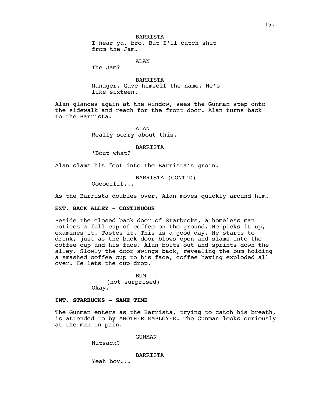BARRISTA I hear ya, bro. But I'll catch shit from the Jam.

ALAN

The Jam?

**BARRISTA** Manager. Gave himself the name. He's like sixteen.

Alan glances again at the window, sees the Gunman step onto the sidewalk and reach for the front door. Alan turns back to the Barrista.

> ALAN Really sorry about this.

> > BARRISTA

'Bout what?

Alan slams his foot into the Barrista's groin.

BARRISTA (CONT'D)

Oooooffff...

As the Barrista doubles over, Alan moves quickly around him.

# **EXT. BACK ALLEY - CONTINUOUS**

Beside the closed back door of Starbucks, a homeless man notices a full cup of coffee on the ground. He picks it up, examines it. Tastes it. This is a good day. He starts to drink, just as the back door blows open and slams into the coffee cup and his face. Alan bolts out and sprints down the alley. Slowly the door swings back, revealing the bum holding a smashed coffee cup to his face, coffee having exploded all over. He lets the cup drop.

> BUM (not surprised) Okay.

# **INT. STARBUCKS - SAME TIME**

The Gunman enters as the Barrista, trying to catch his breath, is attended to by ANOTHER EMPLOYEE. The Gunman looks curiously at the man in pain.

GUNMAN

Nutsack?

BARRISTA

Yeah boy...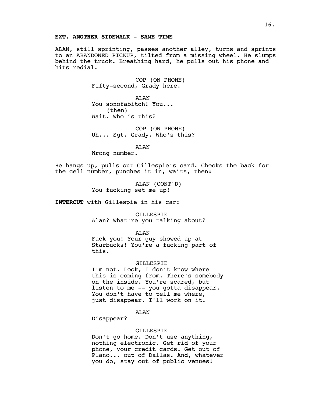## **EXT. ANOTHER SIDEWALK - SAME TIME**

ALAN, still sprinting, passes another alley, turns and sprints to an ABANDONED PICKUP, tilted from a missing wheel. He slumps behind the truck. Breathing hard, he pulls out his phone and hits redial.

> COP (ON PHONE) Fifty-second, Grady here.

ALAN You sonofabitch! You... (then) Wait. Who is this?

COP (ON PHONE) Uh... Sgt. Grady. Who's this?

AT.AN

Wrong number.

He hangs up, pulls out Gillespie's card. Checks the back for the cell number, punches it in, waits, then:

> ALAN (CONT'D) You fucking set me up!

**INTERCUT** with Gillespie in his car:

GILLESPIE Alan? What're you talking about?

ALAN

Fuck you! Your guy showed up at Starbucks! You're a fucking part of this.

### GILLESPIE

I'm not. Look, I don't know where this is coming from. There's somebody on the inside. You're scared, but listen to me -- you gotta disappear. You don't have to tell me where, just disappear. I'll work on it.

ALAN

Disappear?

## GILLESPIE

Don't go home. Don't use anything, nothing electronic. Get rid of your phone, your credit cards. Get out of Plano... out of Dallas. And, whatever you do, stay out of public venues!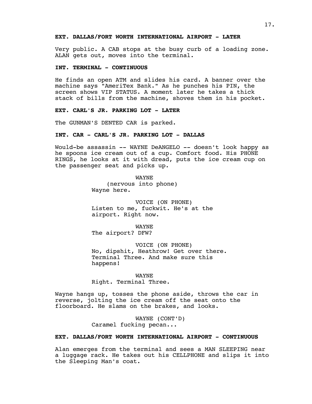# **EXT. DALLAS/FORT WORTH INTERNATIONAL AIRPORT - LATER**

Very public. A CAB stops at the busy curb of a loading zone. ALAN gets out, moves into the terminal.

# **INT. TERMINAL - CONTINUOUS**

He finds an open ATM and slides his card. A banner over the machine says "AmeriTex Bank." As he punches his PIN, the screen shows VIP STATUS. A moment later he takes a thick stack of bills from the machine, shoves them in his pocket.

## **EXT. CARL'S JR. PARKING LOT - LATER**

The GUNMAN'S DENTED CAR is parked.

# **INT. CAR - CARL'S JR. PARKING LOT - DALLAS**

Would-be assassin -- WAYNE DeANGELO -- doesn't look happy as he spoons ice cream out of a cup. Comfort food. His PHONE RINGS, he looks at it with dread, puts the ice cream cup on the passenger seat and picks up.

> WAYNE (nervous into phone) Wayne here.

VOICE (ON PHONE) Listen to me, fuckwit. He's at the airport. Right now.

WAYNE The airport? DFW?

VOICE (ON PHONE) No, dipshit, Heathrow! Get over there. Terminal Three. And make sure this happens!

WAYNE Right. Terminal Three.

Wayne hangs up, tosses the phone aside, throws the car in reverse, jolting the ice cream off the seat onto the floorboard. He slams on the brakes, and looks.

> WAYNE (CONT'D) Caramel fucking pecan...

# **EXT. DALLAS/FORT WORTH INTERNATIONAL AIRPORT - CONTINUOUS**

Alan emerges from the terminal and sees a MAN SLEEPING near a luggage rack. He takes out his CELLPHONE and slips it into the Sleeping Man's coat.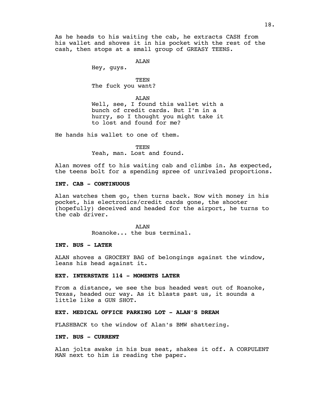As he heads to his waiting the cab, he extracts CASH from his wallet and shoves it in his pocket with the rest of the cash, then stops at a small group of GREASY TEENS.

ALAN

Hey, guys.

# **TEEN**

The fuck you want?

#### ALAN

Well, see, I found this wallet with a bunch of credit cards. But I'm in a hurry, so I thought you might take it to lost and found for me?

He hands his wallet to one of them.

TEEN

Yeah, man. Lost and found.

Alan moves off to his waiting cab and climbs in. As expected, the teens bolt for a spending spree of unrivaled proportions.

# **INT. CAB - CONTINUOUS**

Alan watches them go, then turns back. Now with money in his pocket, his electronics/credit cards gone, the shooter (hopefully) deceived and headed for the airport, he turns to the cab driver.

AT.AN

Roanoke... the bus terminal.

## **INT. BUS - LATER**

ALAN shoves a GROCERY BAG of belongings against the window, leans his head against it.

# **EXT. INTERSTATE 114 - MOMENTS LATER**

From a distance, we see the bus headed west out of Roanoke, Texas, headed our way. As it blasts past us, it sounds a little like a GUN SHOT.

## **EXT. MEDICAL OFFICE PARKING LOT - ALAN'S DREAM**

FLASHBACK to the window of Alan's BMW shattering.

## **INT. BUS - CURRENT**

Alan jolts awake in his bus seat, shakes it off. A CORPULENT MAN next to him is reading the paper.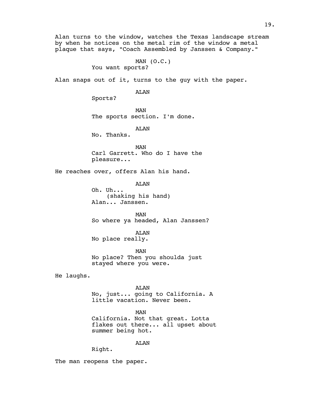Alan turns to the window, watches the Texas landscape stream by when he notices on the metal rim of the window a metal plaque that says, "Coach Assembled by Janssen & Company."

> MAN  $(0.C.)$ You want sports?

Alan snaps out of it, turns to the guy with the paper.

ALAN

Sports?

MAN The sports section. I'm done.

ALAN

No. Thanks.

MAN Carl Garrett. Who do I have the pleasure...

He reaches over, offers Alan his hand.

AT.AN

Oh. Uh... (shaking his hand) Alan... Janssen.

MAN So where ya headed, Alan Janssen?

ALAN No place really.

MAN No place? Then you shoulda just stayed where you were.

He laughs.

### ALAN

No, just... going to California. A little vacation. Never been.

MAN California. Not that great. Lotta flakes out there... all upset about summer being hot.

ALAN

Right.

The man reopens the paper.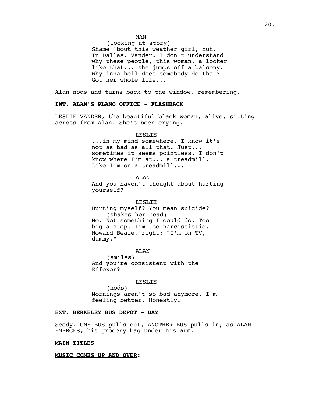(looking at story) Shame 'bout this weather girl, huh. In Dallas. Vander. I don't understand why these people, this woman, a looker like that... she jumps off a balcony. Why inna hell does somebody do that? Got her whole life...

Alan nods and turns back to the window, remembering.

# **INT. ALAN'S PLANO OFFICE - FLASHBACK**

LESLIE VANDER, the beautiful black woman, alive, sitting across from Alan. She's been crying.

### LESLIE

...in my mind somewhere, I know it's not as bad as all that. Just... sometimes it seems pointless. I don't know where I'm at... a treadmill. Like I'm on a treadmill...

#### ALAN

And you haven't thought about hurting yourself?

LESLIE Hurting myself? You mean suicide? (shakes her head) No. Not something I could do. Too big a step. I'm too narcissistic. Howard Beale, right: "I'm on TV, dummy."

ALAN

(smiles) And you're consistent with the Effexor?

#### LESLIE

(nods) Mornings aren't so bad anymore. I'm feeling better. Honestly.

## **EXT. BERKELEY BUS DEPOT - DAY**

Seedy. ONE BUS pulls out, ANOTHER BUS pulls in, as ALAN EMERGES, his grocery bag under his arm.

## **MAIN TITLES**

## **MUSIC COMES UP AND OVER:**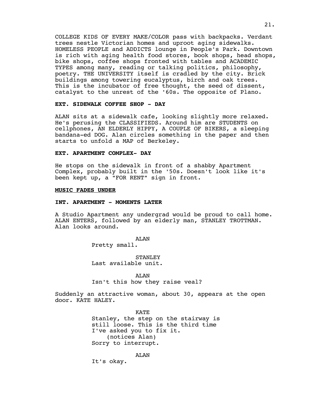COLLEGE KIDS OF EVERY MAKE/COLOR pass with backpacks. Verdant trees nestle Victorian homes and uproot aging sidewalks. HOMELESS PEOPLE and ADDICTS lounge in People's Park. Downtown is rich with aging health food stores, book shops, head shops, bike shops, coffee shops fronted with tables and ACADEMIC TYPES among many, reading or talking politics, philosophy, poetry. THE UNIVERSITY itself is cradled by the city. Brick buildings among towering eucalyptus, birch and oak trees. This is the incubator of free thought, the seed of dissent, catalyst to the unrest of the '60s. The opposite of Plano.

# **EXT. SIDEWALK COFFEE SHOP - DAY**

ALAN sits at a sidewalk cafe, looking slightly more relaxed. He's perusing the CLASSIFIEDS. Around him are STUDENTS on cellphones, AN ELDERLY HIPPY, A COUPLE OF BIKERS, a sleeping bandana-ed DOG. Alan circles something in the paper and then starts to unfold a MAP of Berkeley.

## **EXT. APARTMENT COMPLEX- DAY**

He stops on the sidewalk in front of a shabby Apartment Complex, probably built in the '50s. Doesn't look like it's been kept up, a "FOR RENT" sign in front.

#### **MUSIC FADES UNDER**

## **INT. APARTMENT - MOMENTS LATER**

A Studio Apartment any undergrad would be proud to call home. ALAN ENTERS, followed by an elderly man, STANLEY TROTTMAN. Alan looks around.

ALAN

Pretty small.

STANLEY Last available unit.

ALAN Isn't this how they raise veal?

Suddenly an attractive woman, about 30, appears at the open door. KATE HALEY.

> KATE Stanley, the step on the stairway is still loose. This is the third time I've asked you to fix it. (notices Alan) Sorry to interrupt.

> > ALAN

It's okay.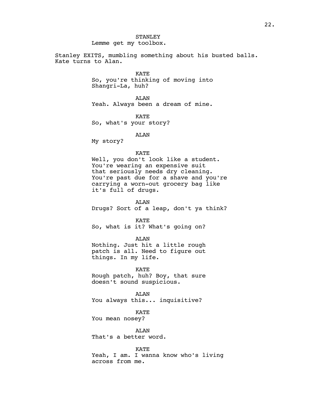**STANLEY** Lemme get my toolbox.

Stanley EXITS, mumbling something about his busted balls. Kate turns to Alan.

KATE

So, you're thinking of moving into Shangri-La, huh?

ALAN

Yeah. Always been a dream of mine.

KATE

So, what's your story?

ALAN

My story?

## KATE

Well, you don't look like a student. You're wearing an expensive suit that seriously needs dry cleaning. You're past due for a shave and you're carrying a worn-out grocery bag like it's full of drugs.

ALAN Drugs? Sort of a leap, don't ya think?

KATE So, what is it? What's going on?

ALAN

Nothing. Just hit a little rough patch is all. Need to figure out things. In my life.

KATE

Rough patch, huh? Boy, that sure doesn't sound suspicious.

ALAN You always this... inquisitive?

KATE

You mean nosey?

ALAN That's a better word.

KATE Yeah, I am. I wanna know who's living across from me.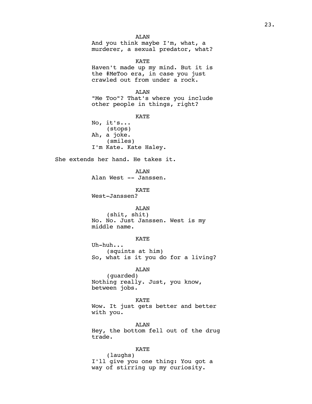ALAN And you think maybe I'm, what, a murderer, a sexual predator, what? KATE Haven't made up my mind. But it is the #MeToo era, in case you just crawled out from under a rock. AT.AN "Me Too"? That's where you include other people in things, right? KATE No, it's... (stops) Ah, a joke. (smiles) I'm Kate. Kate Haley. She extends her hand. He takes it. ALAN Alan West -- Janssen. KATE West-Janssen? ALAN (shit, shit) No. No. Just Janssen. West is my middle name. KATE Uh-huh... (squints at him) So, what is it you do for a living? ALAN (guarded) Nothing really. Just, you know, between jobs. KATE Wow. It just gets better and better with you. ALAN Hey, the bottom fell out of the drug trade. KATE (laughs)

I'll give you one thing: You got a way of stirring up my curiosity.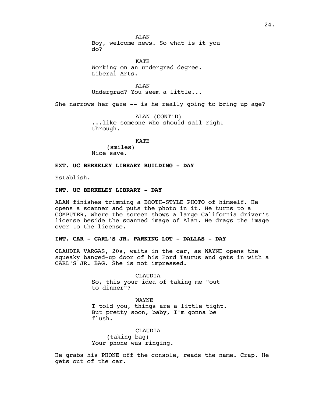AT.AN Boy, welcome news. So what is it you do?

KATE Working on an undergrad degree. Liberal Arts.

ALAN Undergrad? You seem a little...

She narrows her gaze -- is he really going to bring up age?

ALAN (CONT'D) ...like someone who should sail right through.

KATE

(smiles) Nice save.

# **EXT. UC BERKELEY LIBRARY BUILDING - DAY**

Establish.

## **INT. UC BERKELEY LIBRARY - DAY**

ALAN finishes trimming a BOOTH-STYLE PHOTO of himself. He opens a scanner and puts the photo in it. He turns to a COMPUTER, where the screen shows a large California driver's license beside the scanned image of Alan. He drags the image over to the license.

# **INT. CAR - CARL'S JR. PARKING LOT - DALLAS - DAY**

CLAUDIA VARGAS, 20s, waits in the car, as WAYNE opens the squeaky banged-up door of his Ford Taurus and gets in with a CARL'S JR. BAG. She is not impressed.

> CLAUDIA So, this your idea of taking me "out to dinner"?

WAYNE I told you, things are a little tight. But pretty soon, baby, I'm gonna be flush.

# CLAUDIA

(taking bag) Your phone was ringing.

He grabs his PHONE off the console, reads the name. Crap. He gets out of the car.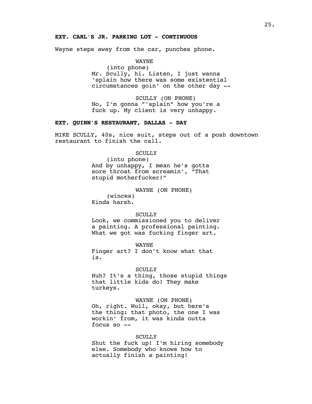# **EXT. CARL'S JR. PARKING LOT - CONTINUOUS**

Wayne steps away from the car, punches phone.

WAYNE

(into phone) Mr. Scully, hi. Listen, I just wanna 'splain how there was some existential circumstances goin' on the other day --

SCULLY (ON PHONE) No, I'm gonna "'splain" how you're a fuck up. My client is very unhappy.

## **EXT. QUINN'S RESTAURANT, DALLAS - DAY**

MIKE SCULLY, 40s, nice suit, steps out of a posh downtown restaurant to finish the call.

## **SCULLY**

(into phone) And by unhappy, I mean he's gotta sore throat from screamin', "That stupid motherfucker!"

WAYNE (ON PHONE)

(winces) Kinda harsh.

#### SCULLY

Look, we commissioned you to deliver a painting. A professional painting. What we got was fucking finger art.

WAYNE Finger art? I don't know what that is.

## **SCULLY**

Huh? It's a thing, those stupid things that little kids do! They make turkeys.

# WAYNE (ON PHONE)

Oh, right. Wull, okay, but here's the thing: that photo, the one I was workin' from, it was kinda outta focus so --

# **SCULLY**

Shut the fuck up! I'm hiring somebody else. Somebody who knows how to actually finish a painting!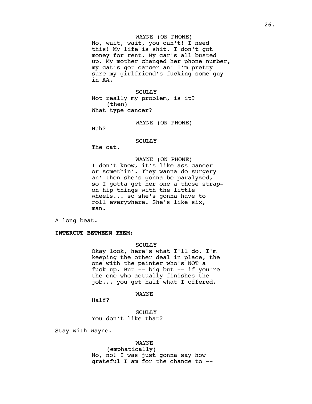## WAYNE (ON PHONE)

No, wait, wait, you can't! I need this! My life is shit. I don't got money for rent. My car's all busted up. My mother changed her phone number, my cat's got cancer an' I'm pretty sure my girlfriend's fucking some guy in AA.

**SCULLY** Not really my problem, is it? (then) What type cancer?

WAYNE (ON PHONE)

Huh?

## **SCULLY**

The cat.

# WAYNE (ON PHONE)

I don't know, it's like ass cancer or somethin'. They wanna do surgery an' then she's gonna be paralyzed, so I gotta get her one a those strapon hip things with the little wheels... so she's gonna have to roll everywhere. She's like six, man.

A long beat.

# **INTERCUT BETWEEN THEM:**

**SCULLY** 

Okay look, here's what I'll do. I'm keeping the other deal in place, the one with the painter who's NOT a fuck up. But -- big but -- if you're the one who actually finishes the job... you get half what I offered.

WAYNE

Half?

SCULLY You don't like that?

Stay with Wayne.

#### WAYNE

(emphatically) No, no! I was just gonna say how grateful I am for the chance to --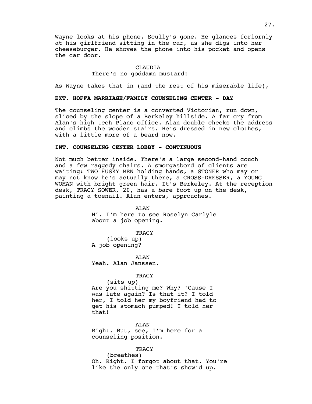Wayne looks at his phone, Scully's gone. He glances forlornly at his girlfriend sitting in the car, as she digs into her cheeseburger. He shoves the phone into his pocket and opens the car door.

# CLAUDIA There's no goddamn mustard!

As Wayne takes that in (and the rest of his miserable life),

# **EXT. HOFFA MARRIAGE/FAMILY COUNSELING CENTER - DAY**

The counseling center is a converted Victorian, run down, sliced by the slope of a Berkeley hillside. A far cry from Alan's high tech Plano office. Alan double checks the address and climbs the wooden stairs. He's dressed in new clothes, with a little more of a beard now.

## **INT. COUNSELING CENTER LOBBY - CONTINUOUS**

Not much better inside. There's a large second-hand couch and a few raggedy chairs. A smorgasbord of clients are waiting: TWO HUSKY MEN holding hands, a STONER who may or may not know he's actually there, a CROSS-DRESSER, a YOUNG WOMAN with bright green hair. It's Berkeley. At the reception desk, TRACY SOWER, 20, has a bare foot up on the desk, painting a toenail. Alan enters, approaches.

> ALAN Hi. I'm here to see Roselyn Carlyle about a job opening.

> > **TRACY**

(looks up) A job opening?

AT.AN Yeah. Alan Janssen.

#### **TRACY**

(sits up) Are you shitting me? Why? 'Cause I was late again? Is that it? I told her, I told her my boyfriend had to get his stomach pumped! I told her that!

ALAN Right. But, see, I'm here for a counseling position.

### **TRACY**

(breathes) Oh. Right. I forgot about that. You're like the only one that's show'd up.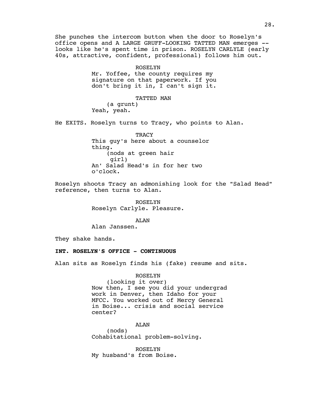She punches the intercom button when the door to Roselyn's office opens and A LARGE GRUFF-LOOKING TATTED MAN emerges - looks like he's spent time in prison. ROSELYN CARLYLE (early 40s, attractive, confident, professional) follows him out.

## ROSELYN

Mr. Yoffee, the county requires my signature on that paperwork. If you don't bring it in, I can't sign it.

## TATTED MAN

(a grunt) Yeah, yeah.

He EXITS. Roselyn turns to Tracy, who points to Alan.

**TRACY** This guy's here about a counselor thing. (nods at green hair girl) An' Salad Head's in for her two o'clock.

Roselyn shoots Tracy an admonishing look for the "Salad Head" reference, then turns to Alan.

> ROSELYN Roselyn Carlyle. Pleasure.

#### ALAN

Alan Janssen.

They shake hands.

## **INT. ROSELYN'S OFFICE - CONTINUOUS**

Alan sits as Roselyn finds his (fake) resume and sits.

#### ROSELYN

(looking it over) Now then, I see you did your undergrad work in Denver, then Idaho for your MFCC. You worked out of Mercy General in Boise... crisis and social service center?

# ALAN

(nods) Cohabitational problem-solving.

ROSELYN My husband's from Boise.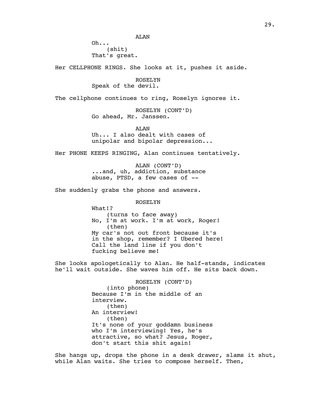Oh... (shit) That's great.

Her CELLPHONE RINGS. She looks at it, pushes it aside.

ROSELYN Speak of the devil.

The cellphone continues to ring, Roselyn ignores it.

ROSELYN (CONT'D) Go ahead, Mr. Janssen.

AT.AN Uh... I also dealt with cases of unipolar and bipolar depression...

Her PHONE KEEPS RINGING, Alan continues tentatively.

ALAN (CONT'D) ...and, uh, addiction, substance abuse, PTSD, a few cases of --

She suddenly grabs the phone and answers.

ROSELYN

What!? (turns to face away) No, I'm at work. I'm at work, Roger! (then) My car's not out front because it's in the shop, remember? I Ubered here! Call the land line if you don't fucking believe me!

She looks apologetically to Alan. He half-stands, indicates he'll wait outside. She waves him off. He sits back down.

> ROSELYN (CONT'D) (into phone) Because I'm in the middle of an interview. (then) An interview! (then) It's none of your goddamn business who I'm interviewing! Yes, he's attractive, so what? Jesus, Roger, don't start this shit again!

She hangs up, drops the phone in a desk drawer, slams it shut, while Alan waits. She tries to compose herself. Then,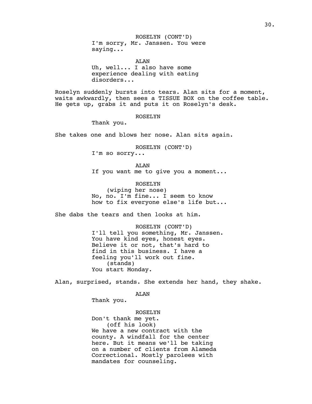ROSELYN (CONT'D) I'm sorry, Mr. Janssen. You were saying...

ALAN Uh, well... I also have some experience dealing with eating disorders...

Roselyn suddenly bursts into tears. Alan sits for a moment, waits awkwardly, then sees a TISSUE BOX on the coffee table. He gets up, grabs it and puts it on Roselyn's desk.

ROSELYN

Thank you.

She takes one and blows her nose. Alan sits again.

ROSELYN (CONT'D) I'm so sorry...

ALAN If you want me to give you a moment...

ROSELYN (wiping her nose) No, no. I'm fine... I seem to know how to fix everyone else's life but...

She dabs the tears and then looks at him.

ROSELYN (CONT'D) I'll tell you something, Mr. Janssen. You have kind eyes, honest eyes. Believe it or not, that's hard to find in this business. I have a feeling you'll work out fine. (stands) You start Monday.

Alan, surprised, stands. She extends her hand, they shake.

ALAN

Thank you.

ROSELYN Don't thank me yet. (off his look) We have a new contract with the county. A windfall for the center here. But it means we'll be taking on a number of clients from Alameda Correctional. Mostly parolees with mandates for counseling.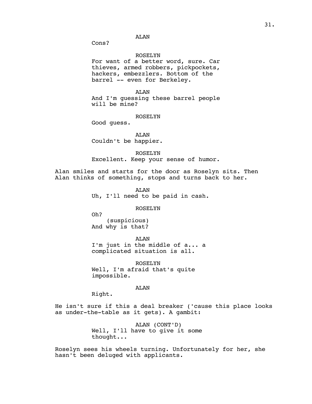ALAN

Cons?

#### ROSELYN

For want of a better word, sure. Car thieves, armed robbers, pickpockets, hackers, embezzlers. Bottom of the barrel -- even for Berkeley.

ALAN

And I'm guessing these barrel people will be mine?

ROSELYN

Good guess.

ALAN Couldn't be happier.

ROSELYN Excellent. Keep your sense of humor.

Alan smiles and starts for the door as Roselyn sits. Then Alan thinks of something, stops and turns back to her.

> ALAN Uh, I'll need to be paid in cash.

#### ROSELYN

Oh? (suspicious)

And why is that?

ALAN I'm just in the middle of a... a complicated situation is all.

ROSELYN Well, I'm afraid that's quite impossible.

ALAN

Right.

He isn't sure if this a deal breaker ('cause this place looks as under-the-table as it gets). A gambit:

> ALAN (CONT'D) Well, I'll have to give it some thought...

Roselyn sees his wheels turning. Unfortunately for her, she hasn't been deluged with applicants.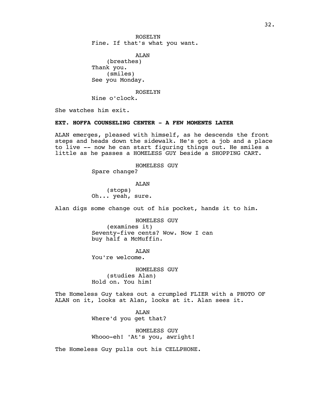ROSELYN Fine. If that's what you want.

ALAN (breathes) Thank you. (smiles) See you Monday.

ROSELYN

Nine o'clock.

She watches him exit.

## **EXT. HOFFA COUNSELING CENTER - A FEW MOMENTS LATER**

ALAN emerges, pleased with himself, as he descends the front steps and heads down the sidewalk. He's got a job and a place to live -- now he can start figuring things out. He smiles a little as he passes a HOMELESS GUY beside a SHOPPING CART.

HOMELESS GUY

Spare change?

ALAN (stops) Oh... yeah, sure.

Alan digs some change out of his pocket, hands it to him.

HOMELESS GUY (examines it) Seventy-five cents? Wow. Now I can buy half a McMuffin.

ALAN

You're welcome.

HOMELESS GUY (studies Alan) Hold on. You him!

The Homeless Guy takes out a crumpled FLIER with a PHOTO OF ALAN on it, looks at Alan, looks at it. Alan sees it.

> ALAN Where'd you get that?

HOMELESS GUY Whooo-eh! 'At's you, awright!

The Homeless Guy pulls out his CELLPHONE.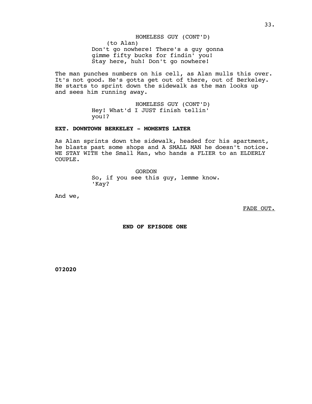# HOMELESS GUY (CONT'D)

(to Alan) Don't go nowhere! There's a guy gonna gimme fifty bucks for findin' you! Stay here, huh! Don't go nowhere!

The man punches numbers on his cell, as Alan mulls this over. It's not good. He's gotta get out of there, out of Berkeley. He starts to sprint down the sidewalk as the man looks up and sees him running away.

> HOMELESS GUY (CONT'D) Hey! What'd I JUST finish tellin' you!?

## **EXT. DOWNTOWN BERKELEY - MOMENTS LATER**

As Alan sprints down the sidewalk, headed for his apartment, he blasts past some shops and A SMALL MAN he doesn't notice. WE STAY WITH the Small Man, who hands a FLIER to an ELDERLY COUPLE.

> GORDON So, if you see this guy, lemme know. 'Kay?

And we,

FADE OUT.

 **END OF EPISODE ONE**

**072020**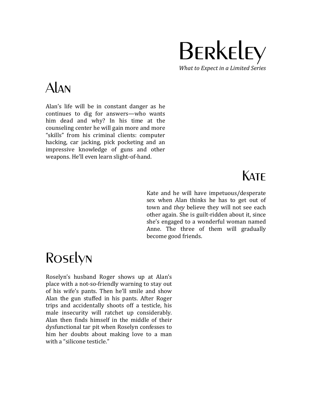

# Alan

Alan's life will be in constant danger as he continues to dig for answers—who wants him dead and why? In his time at the counseling center he will gain more and more "skills" from his criminal clients: computer hacking, car jacking, pick pocketing and an impressive knowledge of guns and other weapons. He'll even learn slight-of-hand.

# **KATF**

Kate and he will have impetuous/desperate sex when Alan thinks he has to get out of town and *they* believe they will not see each other again. She is guilt-ridden about it, since she's engaged to a wonderful woman named Anne. The three of them will gradually become good friends.

# Roselyn

Roselyn's husband Roger shows up at Alan's place with a not-so-friendly warning to stay out of his wife's pants. Then he'll smile and show Alan the gun stuffed in his pants. After Roger trips and accidentally shoots off a testicle, his male insecurity will ratchet up considerably. Alan then finds himself in the middle of their dysfunctional tar pit when Roselyn confesses to him her doubts about making love to a man with a "silicone testicle."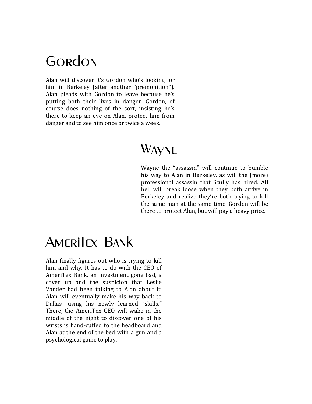# **GORDON**

Alan will discover it's Gordon who's looking for him in Berkeley (after another "premonition"). Alan pleads with Gordon to leave because he's putting both their lives in danger. Gordon, of course does nothing of the sort, insisting he's there to keep an eye on Alan, protect him from danger and to see him once or twice a week.

# **WAYNE**

Wayne the "assassin" will continue to bumble his way to Alan in Berkeley, as will the (more) professional assassin that Scully has hired. All hell will break loose when they both arrive in Berkeley and realize they're both trying to kill the same man at the same time. Gordon will be there to protect Alan, but will pay a heavy price.

# AmeriTex Bank

Alan finally figures out who is trying to kill him and why. It has to do with the CEO of AmeriTex Bank, an investment gone bad, a cover up and the suspicion that Leslie Vander had been talking to Alan about it. Alan will eventually make his way back to Dallas—using his newly learned "skills." There, the AmeriTex CEO will wake in the middle of the night to discover one of his wrists is hand-cuffed to the headboard and Alan at the end of the bed with a gun and a psychological game to play.